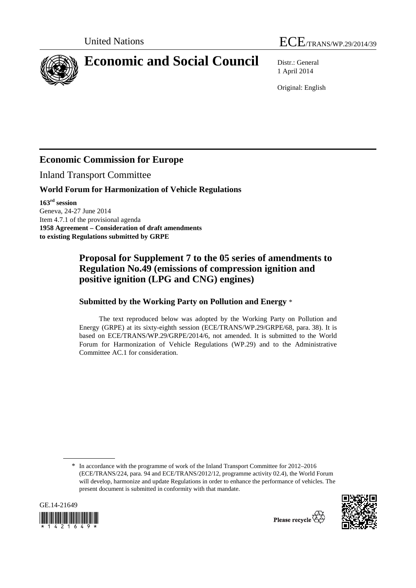



# **Economic and Social Council** Distr.: General

1 April 2014

Original: English

## **Economic Commission for Europe**

Inland Transport Committee

#### **World Forum for Harmonization of Vehicle Regulations**

**163rd session**  Geneva, 24-27 June 2014 Item 4.7.1 of the provisional agenda **1958 Agreement – Consideration of draft amendments to existing Regulations submitted by GRPE** 

### **Proposal for Supplement 7 to the 05 series of amendments to Regulation No.49 (emissions of compression ignition and positive ignition (LPG and CNG) engines)**

#### **Submitted by the Working Party on Pollution and Energy** \*

The text reproduced below was adopted by the Working Party on Pollution and Energy (GRPE) at its sixty-eighth session (ECE/TRANS/WP.29/GRPE/68, para. 38). It is based on ECE/TRANS/WP.29/GRPE/2014/6, not amended. It is submitted to the World Forum for Harmonization of Vehicle Regulations (WP.29) and to the Administrative Committee AC.1 for consideration.

<sup>\*</sup> In accordance with the programme of work of the Inland Transport Committee for 2012–2016 (ECE/TRANS/224, para. 94 and ECE/TRANS/2012/12, programme activity 02.4), the World Forum will develop, harmonize and update Regulations in order to enhance the performance of vehicles. The present document is submitted in conformity with that mandate.